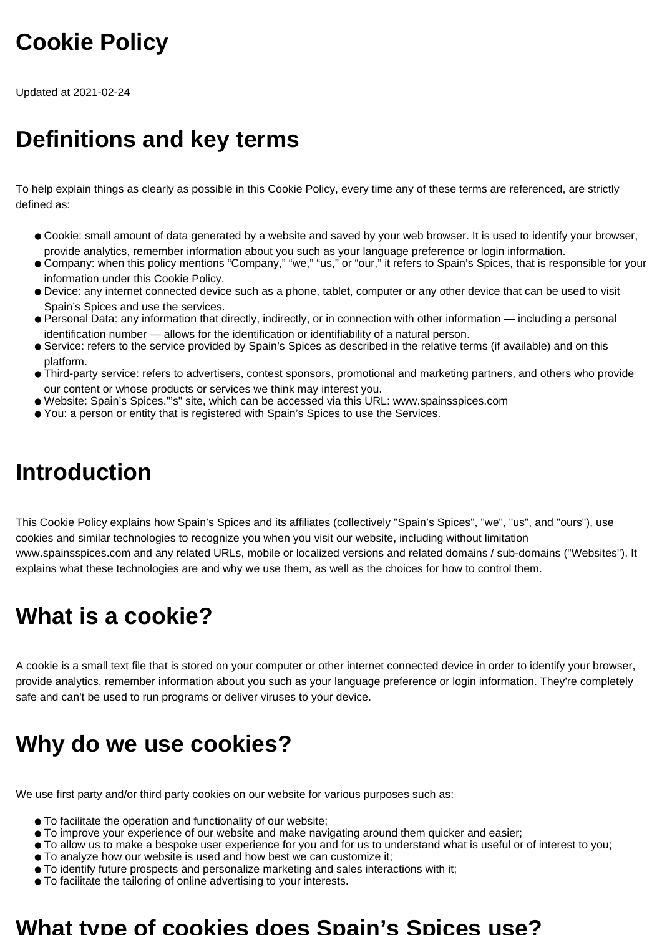# **Cookie Policy**

Updated at 2021-02-24

# **Definitions and key terms**

To help explain things as clearly as possible in this Cookie Policy, every time any of these terms are referenced, are strictly defined as:

- Cookie: small amount of data generated by a website and saved by your web browser. It is used to identify your browser, provide analytics, remember information about you such as your language preference or login information.
- Company: when this policy mentions "Company," "we," "us," or "our," it refers to Spain's Spices, that is responsible for your information under this Cookie Policy.
- Device: any internet connected device such as a phone, tablet, computer or any other device that can be used to visit Spain's Spices and use the services.
- Personal Data: any information that directly, indirectly, or in connection with other information including a personal identification number — allows for the identification or identifiability of a natural person.
- Service: refers to the service provided by Spain's Spices as described in the relative terms (if available) and on this platform.
- Third-party service: refers to advertisers, contest sponsors, promotional and marketing partners, and others who provide our content or whose products or services we think may interest you.
- Website: Spain's Spices."'s" site, which can be accessed via this URL: www.spainsspices.com
- You: a person or entity that is registered with Spain's Spices to use the Services.

#### **Introduction**

This Cookie Policy explains how Spain's Spices and its affiliates (collectively "Spain's Spices", "we", "us", and "ours"), use cookies and similar technologies to recognize you when you visit our website, including without limitation www.spainsspices.com and any related URLs, mobile or localized versions and related domains / sub-domains ("Websites"). It explains what these technologies are and why we use them, as well as the choices for how to control them.

## **What is a cookie?**

A cookie is a small text file that is stored on your computer or other internet connected device in order to identify your browser, provide analytics, remember information about you such as your language preference or login information. They're completely safe and can't be used to run programs or deliver viruses to your device.

## **Why do we use cookies?**

We use first party and/or third party cookies on our website for various purposes such as:

- To facilitate the operation and functionality of our website;
- To improve your experience of our website and make navigating around them quicker and easier;
- To allow us to make a bespoke user experience for you and for us to understand what is useful or of interest to you;
- To analyze how our website is used and how best we can customize it;
- To identify future prospects and personalize marketing and sales interactions with it;
- To facilitate the tailoring of online advertising to your interests.

#### **What type of cookies does Spain's Spices use?**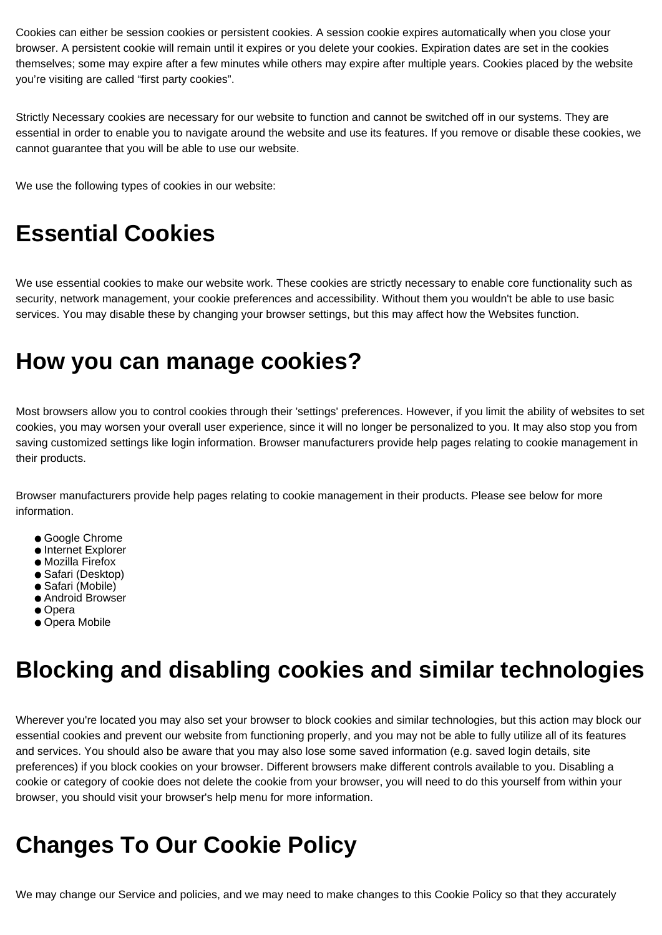Cookies can either be session cookies or persistent cookies. A session cookie expires automatically when you close your browser. A persistent cookie will remain until it expires or you delete your cookies. Expiration dates are set in the cookies themselves; some may expire after a few minutes while others may expire after multiple years. Cookies placed by the website you're visiting are called "first party cookies".

Strictly Necessary cookies are necessary for our website to function and cannot be switched off in our systems. They are essential in order to enable you to navigate around the website and use its features. If you remove or disable these cookies, we cannot guarantee that you will be able to use our website.

We use the following types of cookies in our website:

## **Essential Cookies**

We use essential cookies to make our website work. These cookies are strictly necessary to enable core functionality such as security, network management, your cookie preferences and accessibility. Without them you wouldn't be able to use basic services. You may disable these by changing your browser settings, but this may affect how the Websites function.

#### **How you can manage cookies?**

Most browsers allow you to control cookies through their 'settings' preferences. However, if you limit the ability of websites to set cookies, you may worsen your overall user experience, since it will no longer be personalized to you. It may also stop you from saving customized settings like login information. Browser manufacturers provide help pages relating to cookie management in their products.

Browser manufacturers provide help pages relating to cookie management in their products. Please see below for more information.

- Google Chrome
- Internet Explorer
- Mozilla Firefox
- Safari (Desktop)
- Safari (Mobile)
- Android Browser
- Opera
- Opera Mobile

## **Blocking and disabling cookies and similar technologies**

Wherever you're located you may also set your browser to block cookies and similar technologies, but this action may block our essential cookies and prevent our website from functioning properly, and you may not be able to fully utilize all of its features and services. You should also be aware that you may also lose some saved information (e.g. saved login details, site preferences) if you block cookies on your browser. Different browsers make different controls available to you. Disabling a cookie or category of cookie does not delete the cookie from your browser, you will need to do this yourself from within your browser, you should visit your browser's help menu for more information.

# **Changes To Our Cookie Policy**

We may change our Service and policies, and we may need to make changes to this Cookie Policy so that they accurately